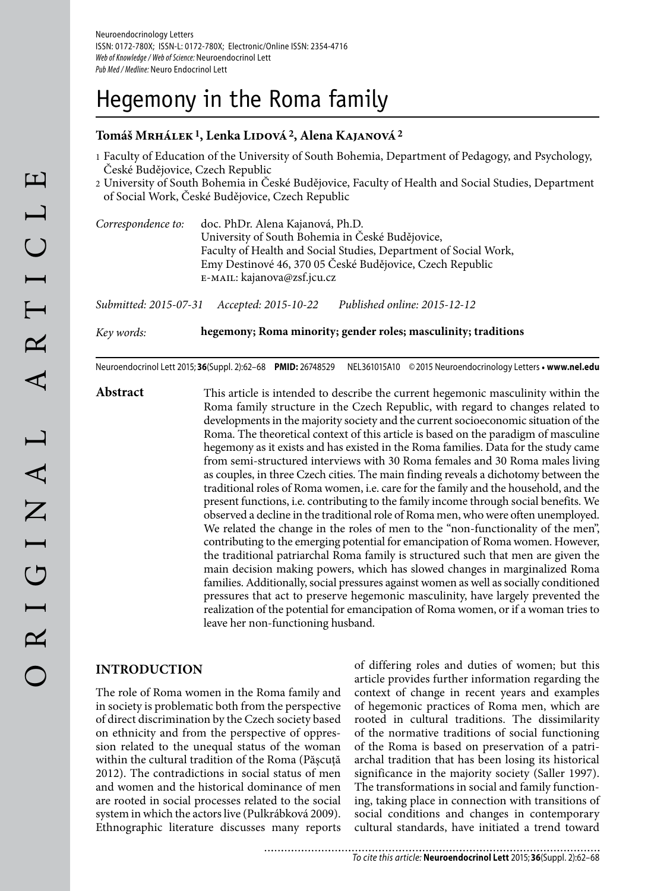# Hegemony in the Roma family

### **Tomáš Mrhálek 1, Lenka Lidová 2, Alena Kajanová 2**

- 1 Faculty of Education of the University of South Bohemia, Department of Pedagogy, and Psychology, České Budějovice, Czech Republic
- 2 University of South Bohemia in České Budějovice, Faculty of Health and Social Studies, Department of Social Work, České Budějovice, Czech Republic

*Correspondence to:* doc. PhDr. Alena Kajanová, Ph.D. University of South Bohemia in České Budějovice, Faculty of Health and Social Studies, Department of Social Work, Emy Destinové 46, 370 05 České Budějovice, Czech Republic e-mail: kajanova@zsf.jcu.cz

*Submitted: 2015-07-31 Accepted: 2015-10-22 Published online: 2015-12-12*

*Key words:* **hegemony; Roma minority; gender roles; masculinity; traditions**

Neuroendocrinol Lett 2015; **36**(Suppl. 2):62–68 **PMID:** 26748529 NEL361015A10 © 2015 Neuroendocrinology Letters • **www.nel.edu**

**Abstract** This article is intended to describe the current hegemonic masculinity within the Roma family structure in the Czech Republic, with regard to changes related to developments in the majority society and the current socioeconomic situation of the Roma. The theoretical context of this article is based on the paradigm of masculine hegemony as it exists and has existed in the Roma families. Data for the study came from semi-structured interviews with 30 Roma females and 30 Roma males living as couples, in three Czech cities. The main finding reveals a dichotomy between the traditional roles of Roma women, i.e. care for the family and the household, and the present functions, i.e. contributing to the family income through social benefits. We observed a decline in the traditional role of Roma men, who were often unemployed. We related the change in the roles of men to the "non-functionality of the men", contributing to the emerging potential for emancipation of Roma women. However, the traditional patriarchal Roma family is structured such that men are given the main decision making powers, which has slowed changes in marginalized Roma families. Additionally, social pressures against women as well as socially conditioned pressures that act to preserve hegemonic masculinity, have largely prevented the realization of the potential for emancipation of Roma women, or if a woman tries to leave her non-functioning husband.

#### **INTRODUCTION**

The role of Roma women in the Roma family and in society is problematic both from the perspective of direct discrimination by the Czech society based on ethnicity and from the perspective of oppression related to the unequal status of the woman within the cultural tradition of the Roma (Păscută 2012). The contradictions in social status of men and women and the historical dominance of men are rooted in social processes related to the social system in which the actors live (Pulkrábková 2009). Ethnographic literature discusses many reports

of differing roles and duties of women; but this article provides further information regarding the context of change in recent years and examples of hegemonic practices of Roma men, which are rooted in cultural traditions. The dissimilarity of the normative traditions of social functioning of the Roma is based on preservation of a patriarchal tradition that has been losing its historical significance in the majority society (Saller 1997). The transformations in social and family functioning, taking place in connection with transitions of social conditions and changes in contemporary cultural standards, have initiated a trend toward

...................... To cite this article: **Neuroendocrinol Lett** 2015; **36**(Suppl. 2):62–68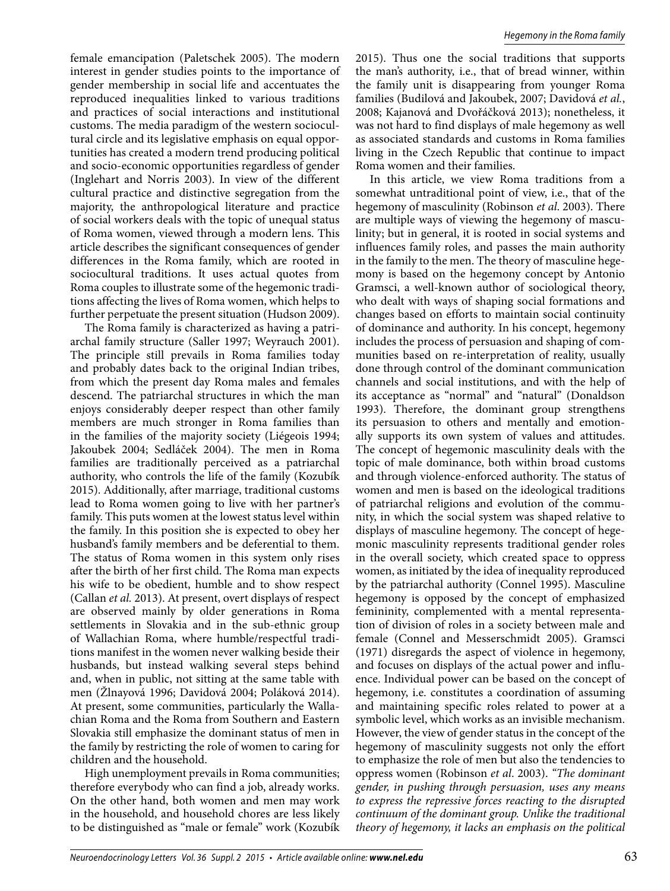female emancipation (Paletschek 2005). The modern interest in gender studies points to the importance of gender membership in social life and accentuates the reproduced inequalities linked to various traditions and practices of social interactions and institutional customs. The media paradigm of the western sociocultural circle and its legislative emphasis on equal opportunities has created a modern trend producing political and socio-economic opportunities regardless of gender (Inglehart and Norris 2003). In view of the different cultural practice and distinctive segregation from the majority, the anthropological literature and practice of social workers deals with the topic of unequal status of Roma women, viewed through a modern lens. This article describes the significant consequences of gender differences in the Roma family, which are rooted in sociocultural traditions. It uses actual quotes from Roma couples to illustrate some of the hegemonic traditions affecting the lives of Roma women, which helps to further perpetuate the present situation (Hudson 2009).

The Roma family is characterized as having a patriarchal family structure (Saller 1997; Weyrauch 2001). The principle still prevails in Roma families today and probably dates back to the original Indian tribes, from which the present day Roma males and females descend. The patriarchal structures in which the man enjoys considerably deeper respect than other family members are much stronger in Roma families than in the families of the majority society (Liégeois 1994; Jakoubek 2004; Sedláček 2004). The men in Roma families are traditionally perceived as a patriarchal authority, who controls the life of the family (Kozubík 2015). Additionally, after marriage, traditional customs lead to Roma women going to live with her partner's family. This puts women at the lowest status level within the family. In this position she is expected to obey her husband's family members and be deferential to them. The status of Roma women in this system only rises after the birth of her first child. The Roma man expects his wife to be obedient, humble and to show respect (Callan *et al.* 2013). At present, overt displays of respect are observed mainly by older generations in Roma settlements in Slovakia and in the sub-ethnic group of Wallachian Roma, where humble/respectful traditions manifest in the women never walking beside their husbands, but instead walking several steps behind and, when in public, not sitting at the same table with men (Žlnayová 1996; Davidová 2004; Poláková 2014). At present, some communities, particularly the Wallachian Roma and the Roma from Southern and Eastern Slovakia still emphasize the dominant status of men in the family by restricting the role of women to caring for children and the household.

High unemployment prevails in Roma communities; therefore everybody who can find a job, already works. On the other hand, both women and men may work in the household, and household chores are less likely to be distinguished as "male or female" work (Kozubík

2015). Thus one the social traditions that supports the man's authority, i.e., that of bread winner, within the family unit is disappearing from younger Roma families (Budilová and Jakoubek, 2007; Davidová *et al.*, 2008; Kajanová and Dvořáčková 2013); nonetheless, it was not hard to find displays of male hegemony as well as associated standards and customs in Roma families living in the Czech Republic that continue to impact Roma women and their families.

In this article, we view Roma traditions from a somewhat untraditional point of view, i.e., that of the hegemony of masculinity (Robinson *et al*. 2003). There are multiple ways of viewing the hegemony of masculinity; but in general, it is rooted in social systems and influences family roles, and passes the main authority in the family to the men. The theory of masculine hegemony is based on the hegemony concept by Antonio Gramsci, a well-known author of sociological theory, who dealt with ways of shaping social formations and changes based on efforts to maintain social continuity of dominance and authority. In his concept, hegemony includes the process of persuasion and shaping of communities based on re-interpretation of reality, usually done through control of the dominant communication channels and social institutions, and with the help of its acceptance as "normal" and "natural" (Donaldson 1993). Therefore, the dominant group strengthens its persuasion to others and mentally and emotionally supports its own system of values and attitudes. The concept of hegemonic masculinity deals with the topic of male dominance, both within broad customs and through violence-enforced authority. The status of women and men is based on the ideological traditions of patriarchal religions and evolution of the community, in which the social system was shaped relative to displays of masculine hegemony. The concept of hegemonic masculinity represents traditional gender roles in the overall society, which created space to oppress women, as initiated by the idea of inequality reproduced by the patriarchal authority (Connel 1995). Masculine hegemony is opposed by the concept of emphasized femininity, complemented with a mental representation of division of roles in a society between male and female (Connel and Messerschmidt 2005). Gramsci (1971) disregards the aspect of violence in hegemony, and focuses on displays of the actual power and influence. Individual power can be based on the concept of hegemony, i.e. constitutes a coordination of assuming and maintaining specific roles related to power at a symbolic level, which works as an invisible mechanism. However, the view of gender status in the concept of the hegemony of masculinity suggests not only the effort to emphasize the role of men but also the tendencies to oppress women (Robinson *et al*. 2003). *"The dominant gender, in pushing through persuasion, uses any means to express the repressive forces reacting to the disrupted continuum of the dominant group. Unlike the traditional theory of hegemony, it lacks an emphasis on the political*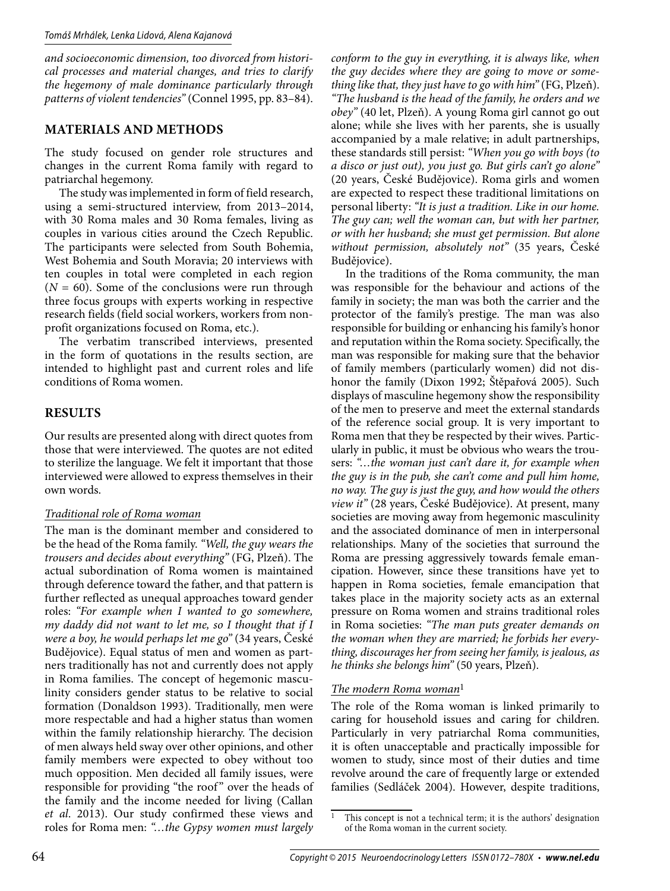*and socioeconomic dimension, too divorced from historical processes and material changes, and tries to clarify the hegemony of male dominance particularly through patterns of violent tendencies"* (Connel 1995, pp. 83–84).

# **MATERIALS AND METHODS**

The study focused on gender role structures and changes in the current Roma family with regard to patriarchal hegemony.

The study was implemented in form of field research, using a semi-structured interview, from 2013–2014, with 30 Roma males and 30 Roma females, living as couples in various cities around the Czech Republic. The participants were selected from South Bohemia, West Bohemia and South Moravia; 20 interviews with ten couples in total were completed in each region  $(N = 60)$ . Some of the conclusions were run through three focus groups with experts working in respective research fields (field social workers, workers from nonprofit organizations focused on Roma, etc.).

The verbatim transcribed interviews, presented in the form of quotations in the results section, are intended to highlight past and current roles and life conditions of Roma women.

## **RESULTS**

Our results are presented along with direct quotes from those that were interviewed. The quotes are not edited to sterilize the language. We felt it important that those interviewed were allowed to express themselves in their own words.

## *Traditional role of Roma woman*

The man is the dominant member and considered to be the head of the Roma family. *"Well, the guy wears the trousers and decides about everything"* (FG, Plzeň). The actual subordination of Roma women is maintained through deference toward the father, and that pattern is further reflected as unequal approaches toward gender roles: *"For example when I wanted to go somewhere, my daddy did not want to let me, so I thought that if I were a boy, he would perhaps let me go"* (34 years, České Budějovice). Equal status of men and women as partners traditionally has not and currently does not apply in Roma families. The concept of hegemonic masculinity considers gender status to be relative to social formation (Donaldson 1993). Traditionally, men were more respectable and had a higher status than women within the family relationship hierarchy. The decision of men always held sway over other opinions, and other family members were expected to obey without too much opposition. Men decided all family issues, were responsible for providing "the roof" over the heads of the family and the income needed for living (Callan *et al*. 2013). Our study confirmed these views and roles for Roma men: *"…the Gypsy women must largely*  *conform to the guy in everything, it is always like, when the guy decides where they are going to move or something like that, they just have to go with him"* (FG, Plzeň). *"The husband is the head of the family, he orders and we obey"* (40 let, Plzeň). A young Roma girl cannot go out alone; while she lives with her parents, she is usually accompanied by a male relative; in adult partnerships, these standards still persist: *"When you go with boys (to a disco or just out), you just go. But girls can't go alone"* (20 years, České Budějovice). Roma girls and women are expected to respect these traditional limitations on personal liberty: *"It is just a tradition. Like in our home. The guy can; well the woman can, but with her partner, or with her husband; she must get permission. But alone without permission, absolutely not"* (35 years, České Budějovice).

In the traditions of the Roma community, the man was responsible for the behaviour and actions of the family in society; the man was both the carrier and the protector of the family's prestige. The man was also responsible for building or enhancing his family's honor and reputation within the Roma society. Specifically, the man was responsible for making sure that the behavior of family members (particularly women) did not dishonor the family (Dixon 1992; Štěpařová 2005). Such displays of masculine hegemony show the responsibility of the men to preserve and meet the external standards of the reference social group. It is very important to Roma men that they be respected by their wives. Particularly in public, it must be obvious who wears the trousers: *"…the woman just can't dare it, for example when the guy is in the pub, she can't come and pull him home, no way. The guy is just the guy, and how would the others view it"* (28 years, České Budějovice). At present, many societies are moving away from hegemonic masculinity and the associated dominance of men in interpersonal relationships. Many of the societies that surround the Roma are pressing aggressively towards female emancipation. However, since these transitions have yet to happen in Roma societies, female emancipation that takes place in the majority society acts as an external pressure on Roma women and strains traditional roles in Roma societies: *"The man puts greater demands on the woman when they are married; he forbids her everything, discourages her from seeing her family, is jealous, as he thinks she belongs him"* (50 years, Plzeň).

## *The modern Roma woman*1

The role of the Roma woman is linked primarily to caring for household issues and caring for children. Particularly in very patriarchal Roma communities, it is often unacceptable and practically impossible for women to study, since most of their duties and time revolve around the care of frequently large or extended families (Sedláček 2004). However, despite traditions,

<sup>&</sup>lt;sup>1</sup> This concept is not a technical term; it is the authors' designation of the Roma woman in the current society.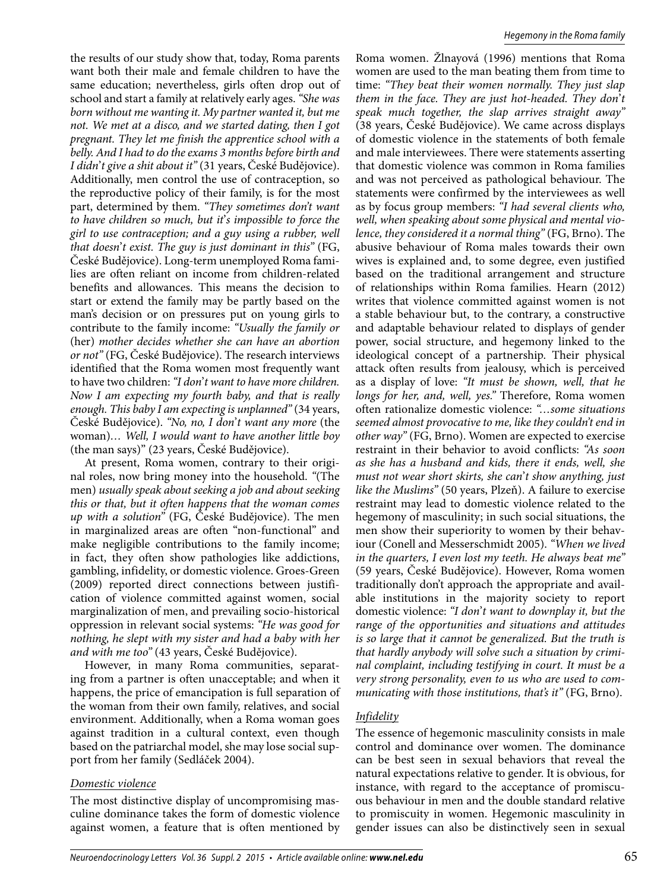the results of our study show that, today, Roma parents want both their male and female children to have the same education; nevertheless, girls often drop out of school and start a family at relatively early ages. *"She was born without me wanting it. My partner wanted it, but me not. We met at a disco, and we started dating, then I got pregnant. They let me finish the apprentice school with a belly. And I had to do the exams 3 months before birth and I didn*'*t give a shit about it"* (31 years, České Budějovice). Additionally, men control the use of contraception, so the reproductive policy of their family, is for the most part, determined by them. *"They sometimes don't want to have children so much, but it*'*s impossible to force the girl to use contraception; and a guy using a rubber, well that doesn*'*t exist. The guy is just dominant in this"* (FG, České Budějovice). Long-term unemployed Roma families are often reliant on income from children-related benefits and allowances. This means the decision to start or extend the family may be partly based on the man's decision or on pressures put on young girls to contribute to the family income: *"Usually the family or*  (her) *mother decides whether she can have an abortion or not"* (FG, České Budějovice). The research interviews identified that the Roma women most frequently want to have two children: *"I don*'*t want to have more children. Now I am expecting my fourth baby, and that is really enough. This baby I am expecting is unplanned"* (34 years, České Budějovice). *"No, no, I don*'*t want any more* (the woman)*… Well, I would want to have another little boy*  (the man says)" (23 years, České Budějovice).

At present, Roma women, contrary to their original roles, now bring money into the household. *"*(The men) *usually speak about seeking a job and about seeking this or that, but it often happens that the woman comes up with a solution"* (FG, České Budějovice). The men in marginalized areas are often "non-functional" and make negligible contributions to the family income; in fact, they often show pathologies like addictions, gambling, infidelity, or domestic violence. Groes-Green (2009) reported direct connections between justification of violence committed against women, social marginalization of men, and prevailing socio-historical oppression in relevant social systems: *"He was good for nothing, he slept with my sister and had a baby with her and with me too"* (43 years, České Budějovice).

However, in many Roma communities, separating from a partner is often unacceptable; and when it happens, the price of emancipation is full separation of the woman from their own family, relatives, and social environment. Additionally, when a Roma woman goes against tradition in a cultural context, even though based on the patriarchal model, she may lose social support from her family (Sedláček 2004).

#### *Domestic violence*

The most distinctive display of uncompromising masculine dominance takes the form of domestic violence against women, a feature that is often mentioned by Roma women. Žlnayová (1996) mentions that Roma women are used to the man beating them from time to time: *"They beat their women normally. They just slap them in the face. They are just hot-headed. They don*'*t speak much together, the slap arrives straight away"* (38 years, České Budějovice). We came across displays of domestic violence in the statements of both female and male interviewees. There were statements asserting that domestic violence was common in Roma families and was not perceived as pathological behaviour. The statements were confirmed by the interviewees as well as by focus group members: *"I had several clients who, well, when speaking about some physical and mental violence, they considered it a normal thing"* (FG, Brno). The abusive behaviour of Roma males towards their own wives is explained and, to some degree, even justified based on the traditional arrangement and structure of relationships within Roma families. Hearn (2012) writes that violence committed against women is not a stable behaviour but, to the contrary, a constructive and adaptable behaviour related to displays of gender power, social structure, and hegemony linked to the ideological concept of a partnership. Their physical attack often results from jealousy, which is perceived as a display of love: *"It must be shown, well, that he longs for her, and, well, yes."* Therefore, Roma women often rationalize domestic violence: *"…some situations seemed almost provocative to me, like they couldn't end in other way"* (FG, Brno). Women are expected to exercise restraint in their behavior to avoid conflicts: *"As soon as she has a husband and kids, there it ends, well, she must not wear short skirts, she can*'*t show anything, just like the Muslims"* (50 years, Plzeň). A failure to exercise restraint may lead to domestic violence related to the hegemony of masculinity; in such social situations, the men show their superiority to women by their behaviour (Conell and Messerschmidt 2005). *"When we lived in the quarters, I even lost my teeth. He always beat me"* (59 years, České Budějovice). However, Roma women traditionally don't approach the appropriate and available institutions in the majority society to report domestic violence: *"I don*'*t want to downplay it, but the range of the opportunities and situations and attitudes is so large that it cannot be generalized. But the truth is that hardly anybody will solve such a situation by criminal complaint, including testifying in court. It must be a very strong personality, even to us who are used to communicating with those institutions, that's it"* (FG, Brno).

#### *Infidelity*

The essence of hegemonic masculinity consists in male control and dominance over women. The dominance can be best seen in sexual behaviors that reveal the natural expectations relative to gender. It is obvious, for instance, with regard to the acceptance of promiscuous behaviour in men and the double standard relative to promiscuity in women. Hegemonic masculinity in gender issues can also be distinctively seen in sexual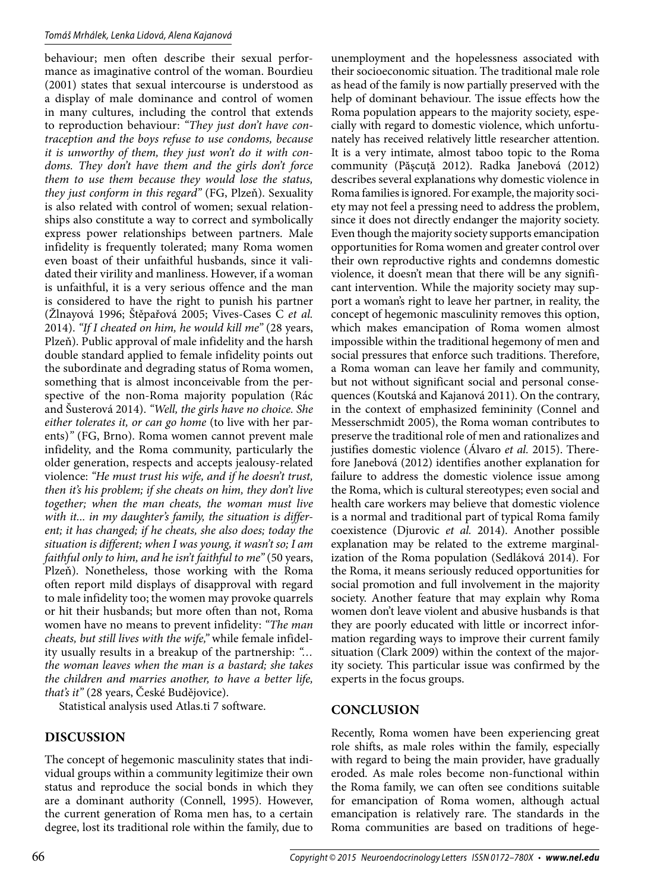behaviour; men often describe their sexual performance as imaginative control of the woman. Bourdieu (2001) states that sexual intercourse is understood as a display of male dominance and control of women in many cultures, including the control that extends to reproduction behaviour: *"They just don't have contraception and the boys refuse to use condoms, because it is unworthy of them, they just won't do it with condoms. They don't have them and the girls don't force them to use them because they would lose the status, they just conform in this regard"* (FG, Plzeň). Sexuality is also related with control of women; sexual relationships also constitute a way to correct and symbolically express power relationships between partners. Male infidelity is frequently tolerated; many Roma women even boast of their unfaithful husbands, since it validated their virility and manliness. However, if a woman is unfaithful, it is a very serious offence and the man is considered to have the right to punish his partner (Žlnayová 1996; Štěpařová 2005; Vives-Cases C *et al.*  2014). *"If I cheated on him, he would kill me"* (28 years, Plzeň). Public approval of male infidelity and the harsh double standard applied to female infidelity points out the subordinate and degrading status of Roma women, something that is almost inconceivable from the perspective of the non-Roma majority population (Rác and Šusterová 2014). *"Well, the girls have no choice. She either tolerates it, or can go home* (to live with her parents)*"* (FG, Brno). Roma women cannot prevent male infidelity, and the Roma community, particularly the older generation, respects and accepts jealousy-related violence: *"He must trust his wife, and if he doesn't trust, then it's his problem; if she cheats on him, they don't live together; when the man cheats, the woman must live with it... in my daughter's family, the situation is different; it has changed; if he cheats, she also does; today the situation is different; when I was young, it wasn't so; I am faithful only to him, and he isn't faithful to me"* (50 years, Plzeň). Nonetheless, those working with the Roma often report mild displays of disapproval with regard to male infidelity too; the women may provoke quarrels or hit their husbands; but more often than not, Roma women have no means to prevent infidelity: *"The man cheats, but still lives with the wife,"* while female infidelity usually results in a breakup of the partnership: *"… the woman leaves when the man is a bastard; she takes the children and marries another, to have a better life, that's it"* (28 years, České Budějovice).

Statistical analysis used Atlas.ti 7 software.

# **DISCUSSION**

The concept of hegemonic masculinity states that individual groups within a community legitimize their own status and reproduce the social bonds in which they are a dominant authority (Connell, 1995). However, the current generation of Roma men has, to a certain degree, lost its traditional role within the family, due to

unemployment and the hopelessness associated with their socioeconomic situation. The traditional male role as head of the family is now partially preserved with the help of dominant behaviour. The issue effects how the Roma population appears to the majority society, especially with regard to domestic violence, which unfortunately has received relatively little researcher attention. It is a very intimate, almost taboo topic to the Roma community (Păşcuţă 2012). Radka Janebová (2012) describes several explanations why domestic violence in Roma families is ignored. For example, the majority society may not feel a pressing need to address the problem, since it does not directly endanger the majority society. Even though the majority society supports emancipation opportunities for Roma women and greater control over their own reproductive rights and condemns domestic violence, it doesn't mean that there will be any significant intervention. While the majority society may support a woman's right to leave her partner, in reality, the concept of hegemonic masculinity removes this option, which makes emancipation of Roma women almost impossible within the traditional hegemony of men and social pressures that enforce such traditions. Therefore, a Roma woman can leave her family and community, but not without significant social and personal consequences (Koutská and Kajanová 2011). On the contrary, in the context of emphasized femininity (Connel and Messerschmidt 2005), the Roma woman contributes to preserve the traditional role of men and rationalizes and justifies domestic violence (Álvaro *et al.* 2015). Therefore Janebová (2012) identifies another explanation for failure to address the domestic violence issue among the Roma, which is cultural stereotypes; even social and health care workers may believe that domestic violence is a normal and traditional part of typical Roma family coexistence (Djurovic *et al.* 2014). Another possible explanation may be related to the extreme marginalization of the Roma population (Sedláková 2014). For the Roma, it means seriously reduced opportunities for social promotion and full involvement in the majority society. Another feature that may explain why Roma women don't leave violent and abusive husbands is that they are poorly educated with little or incorrect information regarding ways to improve their current family situation (Clark 2009) within the context of the majority society. This particular issue was confirmed by the experts in the focus groups.

## **CONCLUSION**

Recently, Roma women have been experiencing great role shifts, as male roles within the family, especially with regard to being the main provider, have gradually eroded. As male roles become non-functional within the Roma family, we can often see conditions suitable for emancipation of Roma women, although actual emancipation is relatively rare. The standards in the Roma communities are based on traditions of hege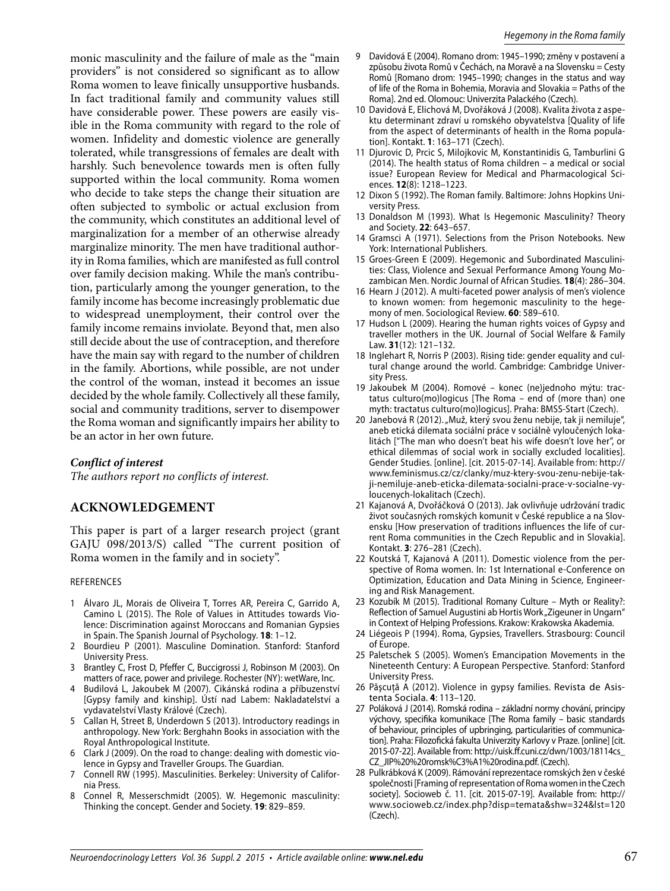monic masculinity and the failure of male as the "main providers" is not considered so significant as to allow Roma women to leave finically unsupportive husbands. In fact traditional family and community values still have considerable power. These powers are easily visible in the Roma community with regard to the role of women. Infidelity and domestic violence are generally tolerated, while transgressions of females are dealt with harshly. Such benevolence towards men is often fully supported within the local community. Roma women who decide to take steps the change their situation are often subjected to symbolic or actual exclusion from the community, which constitutes an additional level of marginalization for a member of an otherwise already marginalize minority. The men have traditional authority in Roma families, which are manifested as full control over family decision making. While the man's contribution, particularly among the younger generation, to the family income has become increasingly problematic due to widespread unemployment, their control over the family income remains inviolate. Beyond that, men also still decide about the use of contraception, and therefore have the main say with regard to the number of children in the family. Abortions, while possible, are not under the control of the woman, instead it becomes an issue decided by the whole family. Collectively all these family, social and community traditions, server to disempower the Roma woman and significantly impairs her ability to be an actor in her own future.

## *Conflict of interest*

*The authors report no conflicts of interest.*

# **ACKNOWLEDGEMENT**

This paper is part of a larger research project (grant GAJU 098/2013/S) called "The current position of Roma women in the family and in society".

#### REFERENCES

- 1 Álvaro JL, Morais de Oliveira T, Torres AR, Pereira C, Garrido A, Camino L (2015). The Role of Values in Attitudes towards Violence: Discrimination against Moroccans and Romanian Gypsies in Spain. The Spanish Journal of Psychology. **18**: 1–12.
- 2 Bourdieu P (2001). Masculine Domination. Stanford: Stanford University Press.
- 3 Brantley C, Frost D, Pfeffer C, Buccigrossi J, Robinson M (2003). On matters of race, power and privilege. Rochester (NY): wetWare, Inc.
- 4 Budilová L, Jakoubek M (2007). Cikánská rodina a příbuzenství [Gypsy family and kinship]. Ústí nad Labem: Nakladatelství a vydavatelství Vlasty Králové (Czech).
- 5 Callan H, Street B, Underdown S (2013). Introductory readings in anthropology. New York: Berghahn Books in association with the Royal Anthropological Institute.
- 6 Clark J (2009). On the road to change: dealing with domestic violence in Gypsy and Traveller Groups. The Guardian.
- 7 Connell RW (1995). Masculinities. Berkeley: University of California Press.
- 8 Connel R, Messerschmidt (2005). W. Hegemonic masculinity: Thinking the concept. Gender and Society. **19**: 829–859.
- 9 Davidová E (2004). Romano drom: 1945–1990; změny v postavení a způsobu života Romů v Čechách, na Moravě a na Slovensku = Cesty Romů [Romano drom: 1945–1990; changes in the status and way of life of the Roma in Bohemia, Moravia and Slovakia = Paths of the Roma]. 2nd ed. Olomouc: Univerzita Palackého (Czech).
- 10 Davidová E, Elichová M, Dvořáková J (2008). Kvalita života z aspektu determinant zdraví u romského obyvatelstva [Quality of life from the aspect of determinants of health in the Roma population]. Kontakt. **1**: 163–171 (Czech).
- 11 Djurovic D, Prcic S, Milojkovic M, Konstantinidis G, Tamburlini G (2014). The health status of Roma children – a medical or social issue? European Review for Medical and Pharmacological Sciences. **12**(8): 1218–1223.
- 12 Dixon S (1992). The Roman family. Baltimore: Johns Hopkins University Press.
- 13 Donaldson M (1993). What Is Hegemonic Masculinity? Theory and Society. **22**: 643–657.
- 14 Gramsci A (1971). Selections from the Prison Notebooks. New York: International Publishers.
- 15 Groes-Green E (2009). Hegemonic and Subordinated Masculinities: Class, Violence and Sexual Performance Among Young Mozambican Men. Nordic Journal of African Studies. **18**(4): 286–304.
- 16 Hearn J (2012). A multi-faceted power analysis of men's violence to known women: from hegemonic masculinity to the hegemony of men. Sociological Review. **60**: 589–610.
- 17 Hudson L (2009). Hearing the human rights voices of Gypsy and traveller mothers in the UK. Journal of Social Welfare & Family Law. **31**(12): 121–132.
- 18 Inglehart R, Norris P (2003). Rising tide: gender equality and cultural change around the world. Cambridge: Cambridge University Press.
- 19 Jakoubek M (2004). Romové konec (ne)jednoho mýtu: tractatus culturo(mo)logicus [The Roma – end of (more than) one myth: tractatus culturo(mo)logicus]. Praha: BMSS-Start (Czech).
- 20 Janebová R (2012). "Muž, který svou ženu nebije, tak ji nemiluje", aneb etická dilemata sociální práce v sociálně vyloučených lokalitách ["The man who doesn't beat his wife doesn't love her", or ethical dilemmas of social work in socially excluded localities]. Gender Studies. [online]. [cit. 2015-07-14]. Available from: http:// www.feminismus.cz/cz/clanky/muz-ktery-svou-zenu-nebije-takji-nemiluje-aneb-eticka-dilemata-socialni-prace-v-socialne-vyloucenych-lokalitach (Czech).
- 21 Kajanová A, Dvořáčková O (2013). Jak ovlivňuje udržování tradic život současných romských komunit v České republice a na Slovensku [How preservation of traditions influences the life of current Roma communities in the Czech Republic and in Slovakia]. Kontakt. **3**: 276–281 (Czech).
- 22 Koutská T, Kajanová A (2011). Domestic violence from the perspective of Roma women. In: 1st International e-Conference on Optimization, Education and Data Mining in Science, Engineering and Risk Management.
- 23 Kozubík M (2015). Traditional Romany Culture Myth or Reality?: Reflection of Samuel Augustini ab Hortis Work "Zigeuner in Ungarn" in Context of Helping Professions. Krakow: Krakowska Akademia.
- 24 Liégeois P (1994). Roma, Gypsies, Travellers. Strasbourg: Council of Europe.
- 25 Paletschek S (2005). Women's Emancipation Movements in the Nineteenth Century: A European Perspective. Stanford: Stanford University Press.
- 26 Pășcuță A (2012). Violence in gypsy families. Revista de Asistenta Sociala. **4**: 113–120.
- 27 Poláková J (2014). Romská rodina základní normy chování, principy výchovy, specifika komunikace [The Roma family – basic standards of behaviour, principles of upbringing, particularities of communication]. Praha: Filozofická fakulta Univerzity Karlovy v Praze. [online] [cit. 2015-07-22]. Available from: http://uisk.ff .cuni.cz/dwn/1003/18114cs\_ CZ\_JIP%20%20romsk%C3%A1%20rodina.pdf. (Czech).
- 28 Pulkrábková K (2009). Rámování reprezentace romských žen v české společnosti [Framing of representation of Roma women in the Czech society]. Socioweb č. 11. [cit. 2015-07-19]. Available from: http:// www.socioweb.cz/index.php?disp=temata&shw=324&lst=120 (Czech).